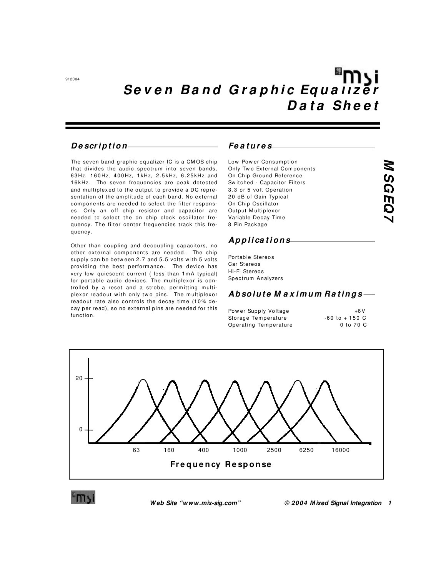### Description-

The seven band graphic equalizer IC is a CMOS chip that divides the audio spectrum into seven bands, 63Hz, 160Hz, 400Hz, 1kHz, 2.5kHz, 6.25kHz and 16kHz. The seven frequencies are peak detected and multiplexed to the output to provide a DC representation of the amplitude of each band. No external components are needed to select the filter responses. Only an off chip resistor and capacitor are needed to select the on chip clock oscillator frequency. The filter center frequencies track this frequency.

Other than coupling and decoupling capacitors, no other external components are needed. The chip supply can be between 2.7 and 5.5 volts with 5 volts providing the best performance. The device has very low quiescent current (less than 1mA typical) for portable audio devices. The multiplexor is controlled by a reset and a strobe, permitting multiplexor readout with only two pins. The multiplexor readout rate also controls the decay time (10% decay per read), so no external pins are needed for this function.

#### Features

| Low Power Consumption        |  |
|------------------------------|--|
| Only Two External Components |  |
| On Chip Ground Reference     |  |
| Switched - Capacitor Filters |  |
| 3.3 or 5 volt Operation      |  |
| 20 dB of Gain Typical        |  |
| On Chip Oscillator           |  |
| Output Multiplexor           |  |
| Variable Decav Time          |  |
| 8 Pin Package                |  |
|                              |  |

### Applications

Portable Stereos Car Stereos Hi-Fi Stereos Spectrum Analyzers

## Absolute Maximum Ratings-

Power Supply Voltage Storage Temperature Operating Temperature

 $+6V$  $-60$  to  $+150$  C 0 to 70 C



Web Site "www.mix-sig.com"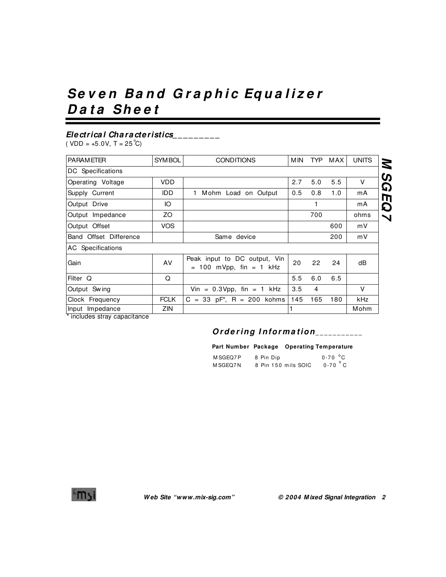# Seven Band Graphic Equalizer **Da ta Shee t**

# **Electrica l Cha ra cteristics\_ \_ \_ \_ \_ \_ \_ \_ \_**

 $(VDD = +5.0V, T = 25^{\circ}C)$ 

| <b>PARAMETER</b>       | SYM BOL     | <b>CONDITIONS</b>                                           | M IN | TYP | MAX | <b>UNITS</b> |
|------------------------|-------------|-------------------------------------------------------------|------|-----|-----|--------------|
| DC Specifications      |             |                                                             |      |     |     |              |
| Operating Voltage      | <b>VDD</b>  |                                                             | 2.7  | 5.0 | 5.5 | v            |
| Supply Current         | IDD.        | 1 Mohm Load on Output                                       | 0.5  | 0.8 | 1.0 | mA           |
| Output Drive           | Ю           |                                                             |      |     |     | mA           |
| Output Impedance       | ZO.         |                                                             |      | 700 |     | ohms         |
| Output Offset          | <b>VOS</b>  |                                                             |      |     | 600 | mV           |
| Band Offset Difference |             | Same device                                                 |      |     | 200 | mV           |
| AC Specifications      |             |                                                             |      |     |     |              |
| Gain                   | AV          | Peak input to DC output, Vin<br>$= 100$ mVpp, fin $= 1$ kHz | 20   | 22  | 24  | dB           |
| Filter Q               | Q           |                                                             | 5.5  | 6.0 | 6.5 |              |
| Output Swing           |             | Vin = $0.3$ Vpp, fin = 1 kHz                                | 3.5  | 4   |     | V            |
| Clock Frequency        | <b>FCLK</b> | $C = 33$ pF <sup>*</sup> , R = 200 kohms                    | 145  | 165 | 180 | kHz          |
| Input Impedance<br>.   | ZIN.        |                                                             |      |     |     | Mohm         |

includes stray capacitance

# Ordering Information\_\_\_\_\_\_\_\_\_\_\_

#### **Part Number Package Operating Temperature**

| M SGEQ7P | 8 Pin Dip           | $0-70$ °C          |
|----------|---------------------|--------------------|
| M SGEO7N | 8 Pin 150 mils SOIC | $0-70$ $\degree$ C |

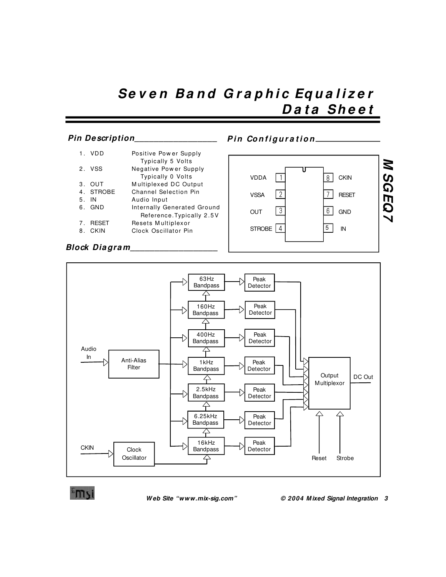# Seven Band Graphic Equalizer **Da ta Shee t**

#### **Pin Configuration** 1. VDD Positive Pow er Supply Typically 5 Volts<br>2. VSS Megative Power Sup Negative Power Supply Typically 0 Volts<br>3. OUT Multiplexed DC Out 3. OUT Multiplexed DC Output<br>4. STROBE Channel Selection Pin Channel Selection Pin 5. IN Audio Input 6. GND Internally Generated Ground Reference.Typically 2 .5V 7. RESET Resets Multiplexor 8. CKIN Clock Oscillator Pin **Pin Description\_\_\_\_\_\_\_\_\_\_\_\_\_\_\_\_\_** VSSA 2  $OUT \quad \boxed{3}$   $6 \quad GND$ STROBE  $\begin{array}{|c|c|c|c|c|c|} \hline 4 & 5 & \text{IN} \ \hline \end{array}$

VDDA 1 8 CKIN

5

**M SGEQ7 M SGEQ7**



**Block Dia gra m\_\_\_\_\_\_\_\_\_\_\_\_\_\_\_\_\_\_**

 **W eb Site "www.mix-sig.com" © 2004 M ixed Signal Integration 3**